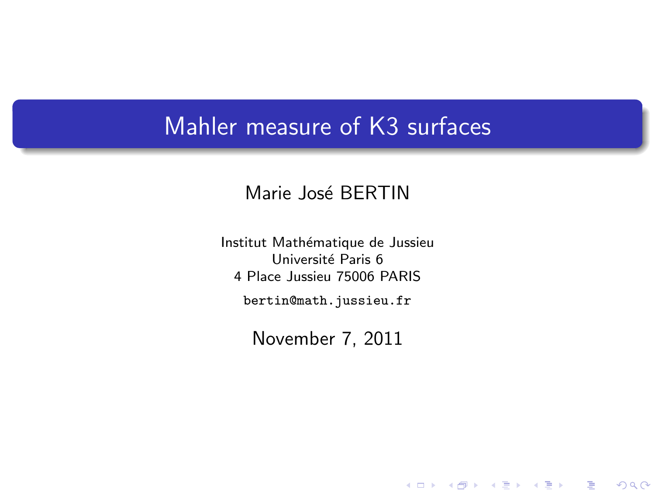## Mahler measure of K3 surfaces

### Marie José BERTIN

Institut Mathématique de Jussieu Université Paris 6 4 Place Jussieu 75006 PARIS

bertin@math.jussieu.fr

<span id="page-0-0"></span>November 7, 2011

세미 시세 제품 시 제품 시 제품 시 시 품 시

 $2Q$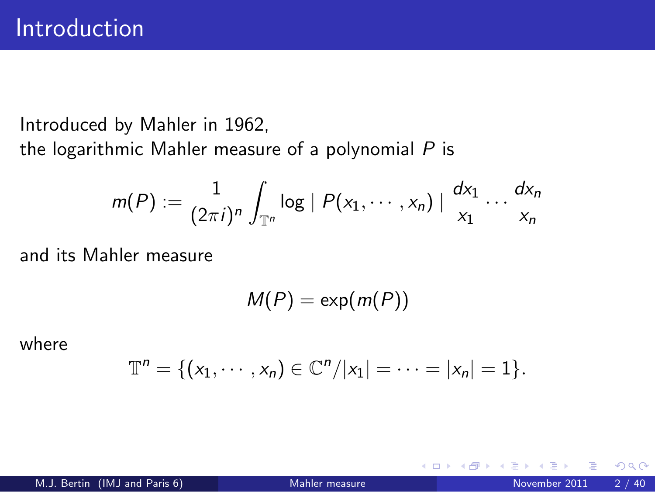Introduced by Mahler in 1962,

the logarithmic Mahler measure of a polynomial *P* is

$$
m(P) := \frac{1}{(2\pi i)^n} \int_{\mathbb{T}^n} \log |P(x_1,\dots,x_n)| \frac{dx_1}{x_1} \dots \frac{dx_n}{x_n}
$$

and its Mahler measure

 $M(P) = \exp(m(P))$ 

where

$$
\mathbb{T}^n = \{ (x_1, \cdots, x_n) \in \mathbb{C}^n / |x_1| = \cdots = |x_n| = 1 \}.
$$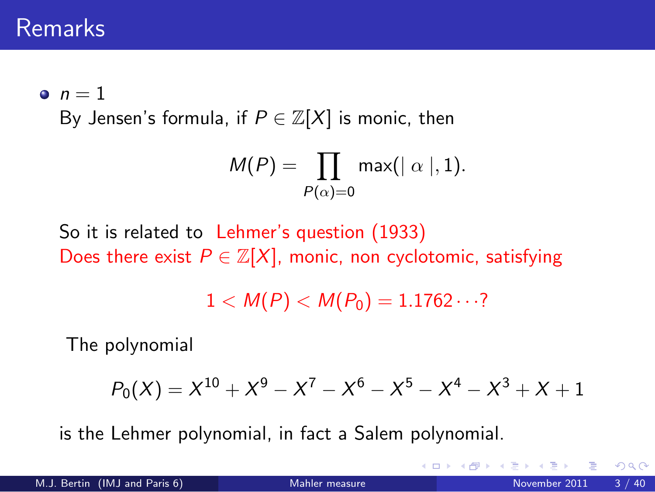## Remarks

 $\bullet$   $n=1$ 

By Jensen's formula, if  $P \in \mathbb{Z}[X]$  is monic, then

$$
M(P) = \prod_{P(\alpha) = 0} \max(|\alpha|, 1).
$$

So it is related to Lehmer's question (1933) Does there exist  $P \in \mathbb{Z}[X]$ , monic, non cyclotomic, satisfying

 $1 < M(P) < M(P_0) = 1.1762 \cdots$ ?

The polynomial

$$
P_0(X) = X^{10} + X^9 - X^7 - X^6 - X^5 - X^4 - X^3 + X + 1
$$

is the Lehmer polynomial, in fact a Salem polynomial.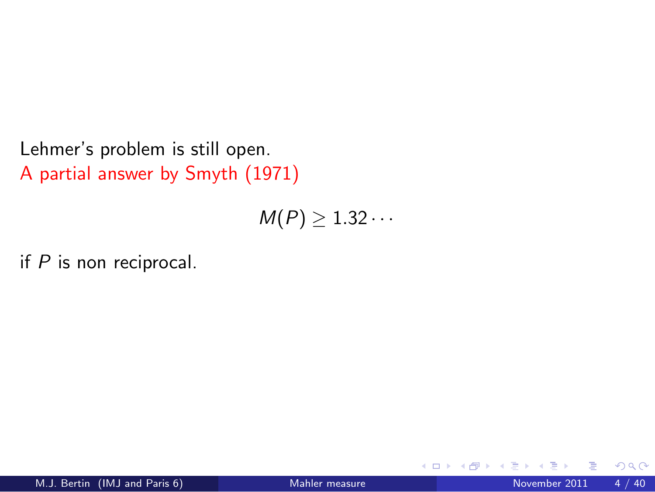Lehmer's problem is still open. A partial answer by Smyth (1971)

 $M(P) \geq 1.32 \cdots$ 

if *P* is non reciprocal.

 $\leftarrow$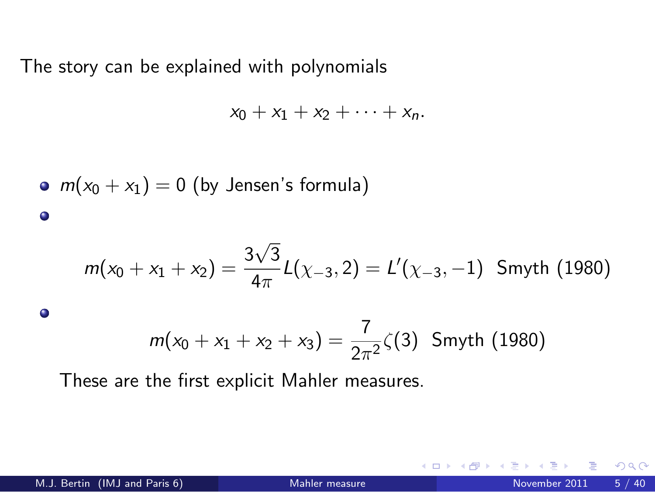The story can be explained with polynomials

$$
x_0+x_1+x_2+\cdots+x_n.
$$

\n- $$
m(x_0 + x_1) = 0
$$
 (by Jensen's formula)
\n

$$
m(x_0 + x_1 + x_2) = \frac{3\sqrt{3}}{4\pi}L(\chi_{-3}, 2) = L'(\chi_{-3}, -1) \text{ Smyth (1980)}
$$

$$
m(x_0 + x_1 + x_2 + x_3) = \frac{7}{2\pi^2} \zeta(3)
$$
 Smyth (1980)

These are the first explicit Mahler measures.

 $\bullet$ 

 $\leftarrow$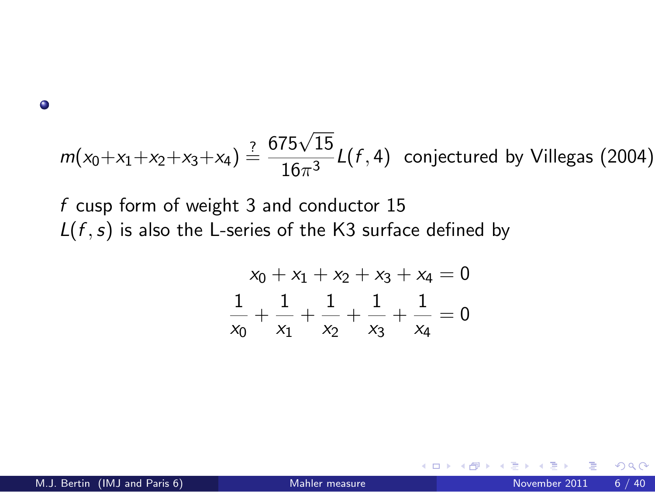$\bullet$ 

$$
m(x_0+x_1+x_2+x_3+x_4) \stackrel{?}{=} \frac{675\sqrt{15}}{16\pi^3}L(f,4)
$$
 conjectured by Villegas (2004)

*f* cusp form of weight 3 and conductor 15 *L*(*f* ,*s*) is also the L-series of the K3 surface defined by

$$
x_0 + x_1 + x_2 + x_3 + x_4 = 0
$$
  

$$
\frac{1}{x_0} + \frac{1}{x_1} + \frac{1}{x_2} + \frac{1}{x_3} + \frac{1}{x_4} = 0
$$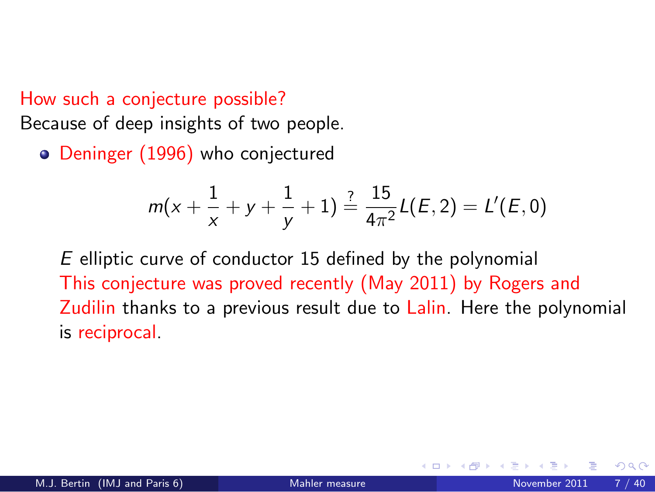#### How such a conjecture possible?

Because of deep insights of two people.

• Deninger (1996) who conjectured

$$
m(x+\frac{1}{x}+y+\frac{1}{y}+1)\stackrel{?}{=}\frac{15}{4\pi^2}L(E,2)=L'(E,0)
$$

*E* elliptic curve of conductor 15 defined by the polynomial This conjecture was proved recently (May 2011) by Rogers and Zudilin thanks to a previous result due to Lalin. Here the polynomial is reciprocal.

つひひ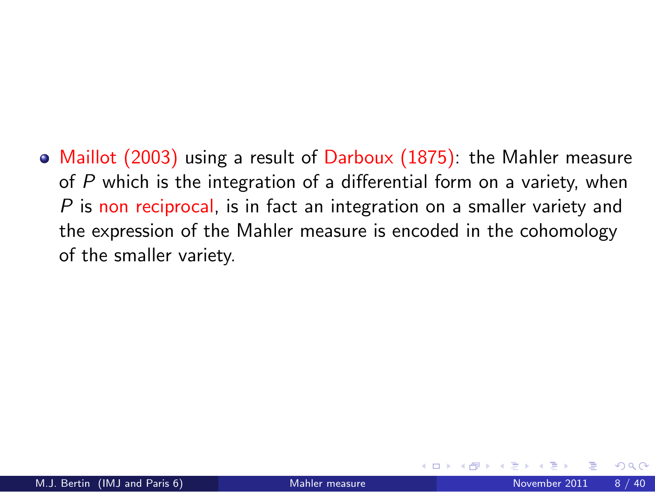• Maillot (2003) using a result of Darboux (1875): the Mahler measure of *P* which is the integration of a differential form on a variety, when *P* is non reciprocal, is in fact an integration on a smaller variety and the expression of the Mahler measure is encoded in the cohomology of the smaller variety.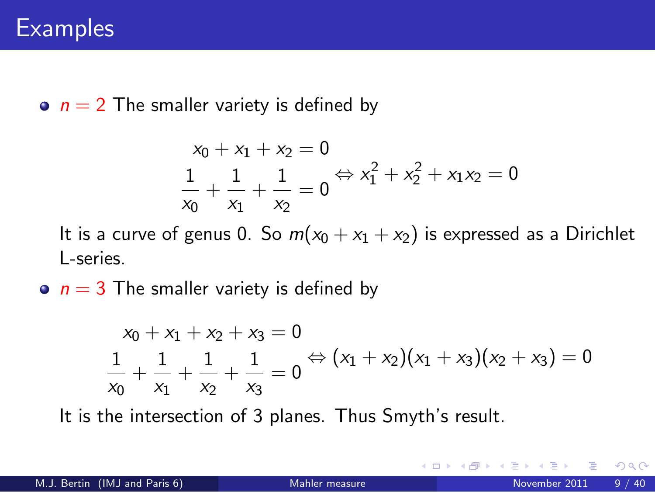$\bullet$   $n = 2$  The smaller variety is defined by

$$
x_0 + x_1 + x_2 = 0
$$
  

$$
\frac{1}{x_0} + \frac{1}{x_1} + \frac{1}{x_2} = 0 \Leftrightarrow x_1^2 + x_2^2 + x_1 x_2 = 0
$$

It is a curve of genus 0. So  $m(x_0 + x_1 + x_2)$  is expressed as a Dirichlet L-series.

 $\bullet$   $n = 3$  The smaller variety is defined by

$$
x_0 + x_1 + x_2 + x_3 = 0
$$
  

$$
\frac{1}{x_0} + \frac{1}{x_1} + \frac{1}{x_2} + \frac{1}{x_3} = 0 \Leftrightarrow (x_1 + x_2)(x_1 + x_3)(x_2 + x_3) = 0
$$

It is the intersection of 3 planes. Thus Smyth's result.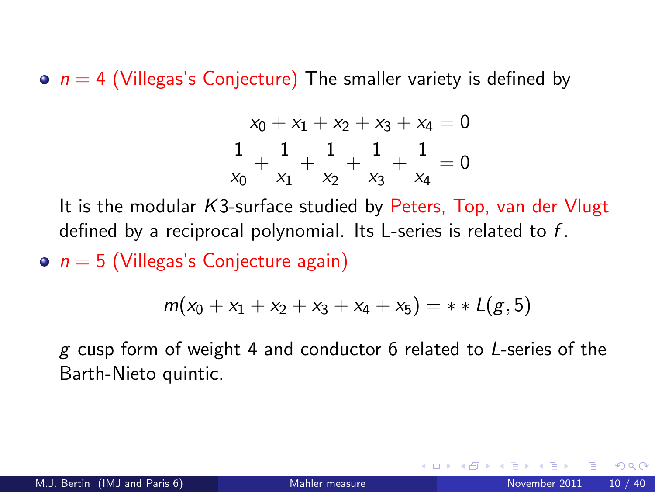$\bullet$   $n = 4$  (Villegas's Conjecture) The smaller variety is defined by

$$
x_0 + x_1 + x_2 + x_3 + x_4 = 0
$$
  

$$
\frac{1}{x_0} + \frac{1}{x_1} + \frac{1}{x_2} + \frac{1}{x_3} + \frac{1}{x_4} = 0
$$

It is the modular *K*3-surface studied by Peters, Top, van der Vlugt defined by a reciprocal polynomial. Its L-series is related to *f* .

 $\circ$   $n = 5$  (Villegas's Conjecture again)

$$
m(x_0 + x_1 + x_2 + x_3 + x_4 + x_5) = * * L(g, 5)
$$

*g* cusp form of weight 4 and conductor 6 related to *L*-series of the Barth-Nieto quintic.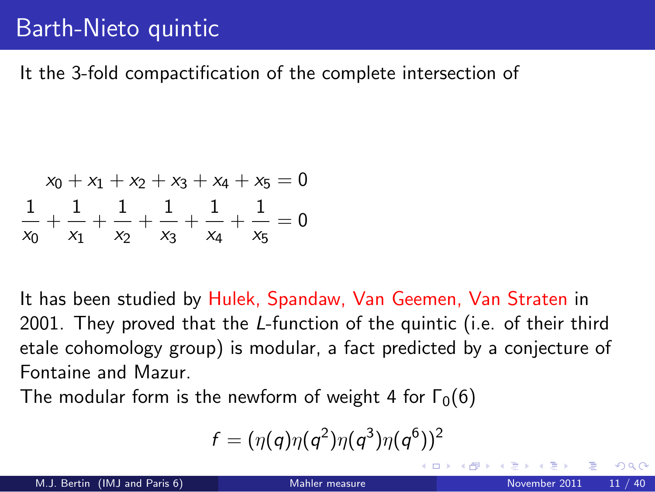## Barth-Nieto quintic

It the 3-fold compactification of the complete intersection of

$$
x_0 + x_1 + x_2 + x_3 + x_4 + x_5 = 0
$$
  

$$
\frac{1}{x_0} + \frac{1}{x_1} + \frac{1}{x_2} + \frac{1}{x_3} + \frac{1}{x_4} + \frac{1}{x_5} = 0
$$

It has been studied by Hulek, Spandaw, Van Geemen, Van Straten in 2001. They proved that the *L*-function of the quintic (i.e. of their third etale cohomology group) is modular, a fact predicted by a conjecture of Fontaine and Mazur.

The modular form is the newform of weight 4 for  $\Gamma_0(6)$ 

$$
f=(\eta(q)\eta(q^2)\eta(q^3)\eta(q^6))^2
$$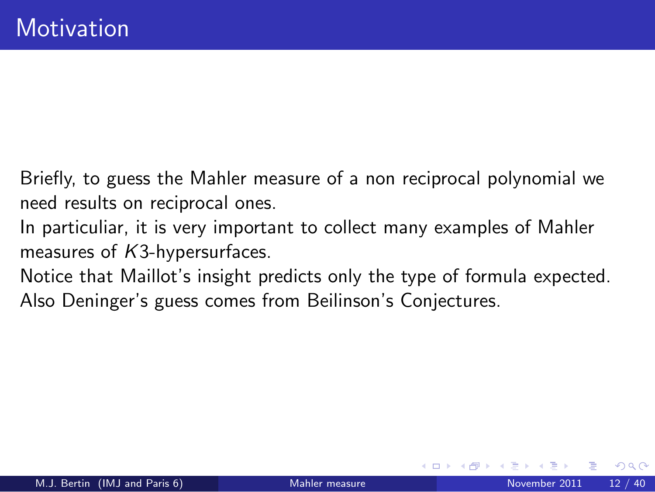Briefly, to guess the Mahler measure of a non reciprocal polynomial we need results on reciprocal ones.

- In particuliar, it is very important to collect many examples of Mahler measures of *K*3-hypersurfaces.
- Notice that Maillot's insight predicts only the type of formula expected. Also Deninger's guess comes from Beilinson's Conjectures.

つひひ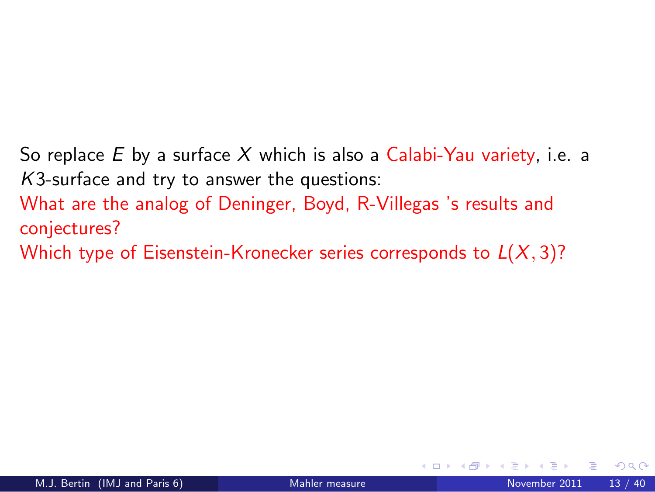So replace *E* by a surface *X* which is also a Calabi-Yau variety, i.e. a *K*3-surface and try to answer the questions:

What are the analog of Deninger, Boyd, R-Villegas 's results and conjectures?

Which type of Eisenstein-Kronecker series corresponds to *L*(*X*, 3)?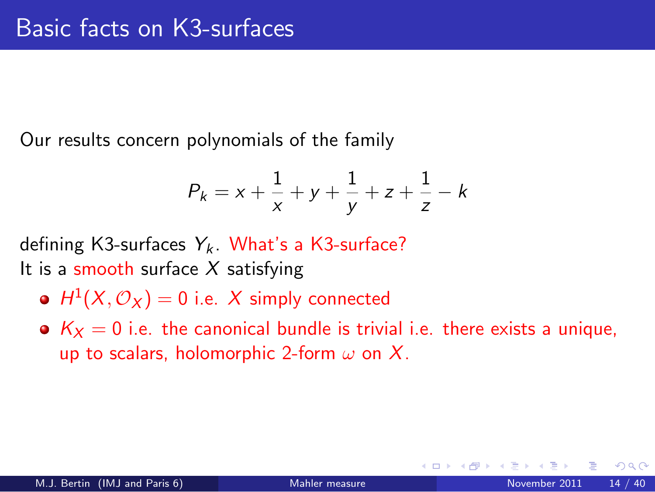Our results concern polynomials of the family

$$
P_k = x + \frac{1}{x} + y + \frac{1}{y} + z + \frac{1}{z} - k
$$

defining K3-surfaces  $Y_k$ . What's a K3-surface? It is a smooth surface *X* satisfying

- $H^1(X, \mathcal{O}_X) = 0$  i.e. X simply connected
- $K_X = 0$  i.e. the canonical bundle is trivial i.e. there exists a unique, up to scalars, holomorphic 2-form  $\omega$  on X.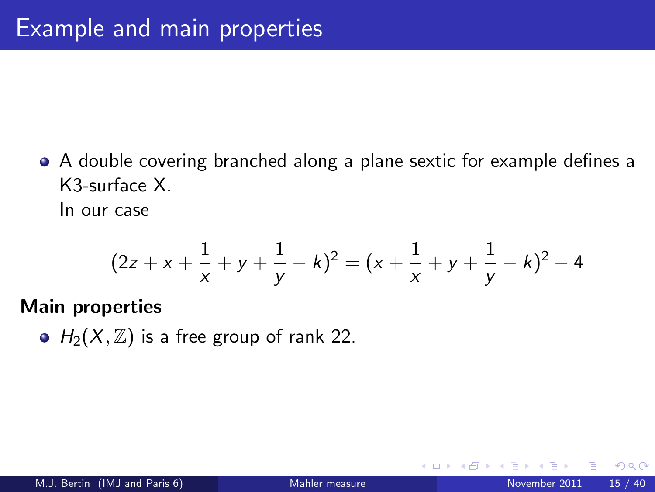A double covering branched along a plane sextic for example defines a K3-surface X.

In our case

$$
(2z + x + \frac{1}{x} + y + \frac{1}{y} - k)^2 = (x + \frac{1}{x} + y + \frac{1}{y} - k)^2 - 4
$$

#### Main properties

•  $H_2(X, \mathbb{Z})$  is a free group of rank 22.

つひひ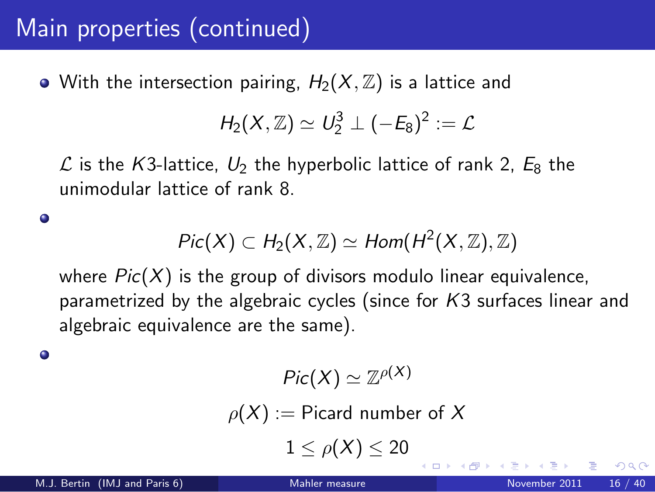# Main properties (continued)

• With the intersection pairing,  $H_2(X, \mathbb{Z})$  is a lattice and

$$
H_2(X,\mathbb{Z})\simeq U_2^3\perp(-E_8)^2:=\mathcal{L}
$$

L is the K3-lattice,  $U_2$  the hyperbolic lattice of rank 2,  $E_8$  the unimodular lattice of rank 8.

$$
Pic(X) \subset H_2(X,\mathbb{Z}) \simeq Hom(H^2(X,\mathbb{Z}),\mathbb{Z})
$$

where *Pic*(*X*) is the group of divisors modulo linear equivalence, parametrized by the algebraic cycles (since for *K*3 surfaces linear and algebraic equivalence are the same).

۰

 $\bullet$ 

$$
Pic(X)\simeq \mathbb{Z}^{\rho(X)}
$$

 $\rho(X) :=$  Picard number of X

 $1 < \rho(X) < 20$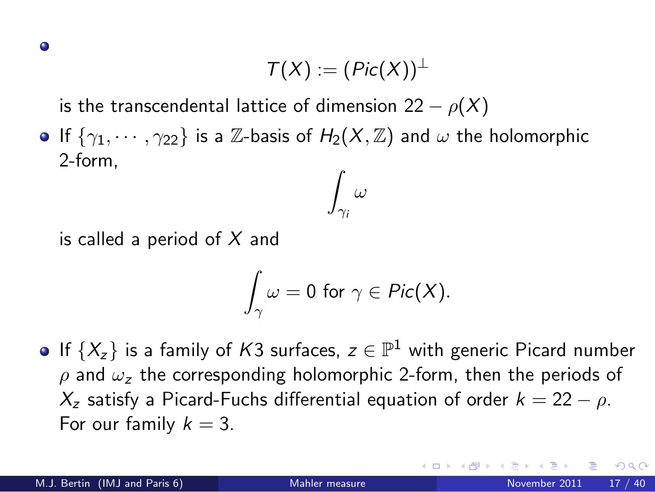$$
\mathcal{T}(X):=(\mathit{Pic}(X))^{\perp}
$$

is the transcendental lattice of dimension  $22 - \rho(X)$ 

**If**  $\{\gamma_1, \cdots, \gamma_{22}\}$  is a Z-basis of  $H_2(X, \mathbb{Z})$  and  $\omega$  the holomorphic 2-form, Z

is called a period of *X* and

$$
\int_{\gamma}\omega=0\,\,\text{for}\,\,\gamma\in\mathit{Pic}(X).
$$

 $\gamma_i$ ω

If  $\{X_z\}$  is a family of *K*3 surfaces,  $z \in \mathbb{P}^1$  with generic Picard number  $ρ$  and  $ω<sub>z</sub>$  the corresponding holomorphic 2-form, then the periods of  $X_z$  satisfy a Picard-Fuchs differential equation of order  $k = 22 - \rho$ . For our family  $k = 3$ .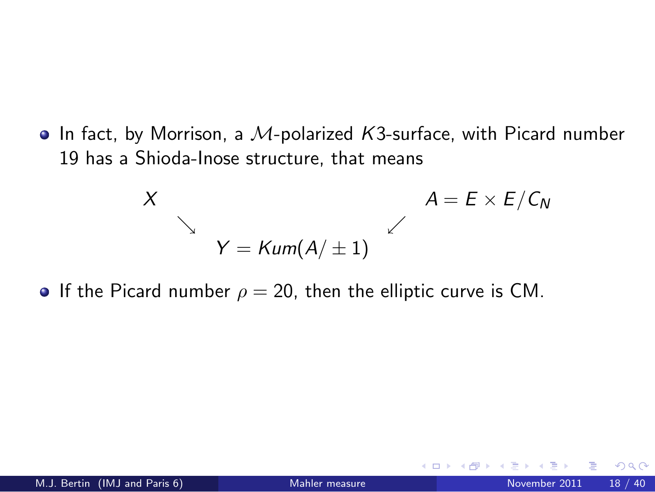In fact, by Morrison, a M-polarized *K*3-surface, with Picard number 19 has a Shioda-Inose structure, that means

<span id="page-17-0"></span>
$$
X
$$
\n
$$
Y = \text{Kum}(A/\pm 1)
$$
\n
$$
A = E \times E/C_N
$$

**If the Picard number**  $\rho = 20$ , then the elliptic curve is CM.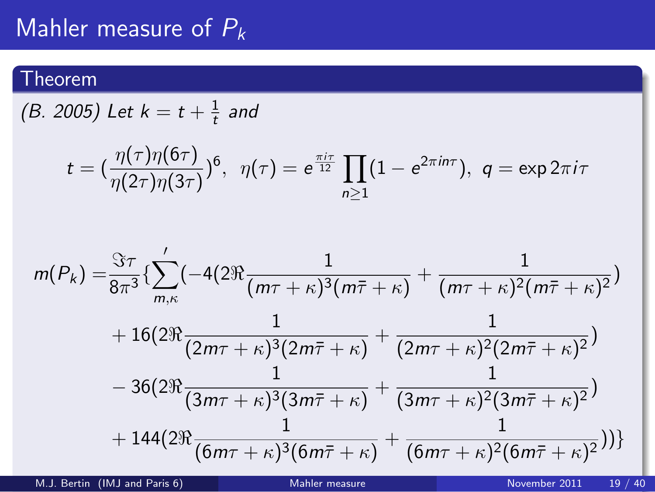## Mahler measure of P*<sup>k</sup>*

### Theorem

 $(B. 2005)$  Let  $k = t + \frac{1}{t}$  and

$$
t = \left(\frac{\eta(\tau)\eta(6\tau)}{\eta(2\tau)\eta(3\tau)}\right)^6, \quad \eta(\tau) = e^{\frac{\pi i \tau}{12}} \prod_{n\geq 1} (1 - e^{2\pi i n \tau}), \quad q = \exp(2\pi i \tau)
$$

$$
m(P_k) = \frac{\Im \tau}{8\pi^3} \left\{ \sum_{m,\kappa}^{\prime} \left( -4(2\Re \frac{1}{(m\tau + \kappa)^3 (m\bar{\tau} + \kappa)} + \frac{1}{(m\tau + \kappa)^2 (m\bar{\tau} + \kappa)^2} \right) \right. \\ \left. + 16(2\Re \frac{1}{(2m\tau + \kappa)^3 (2m\bar{\tau} + \kappa)} + \frac{1}{(2m\tau + \kappa)^2 (2m\bar{\tau} + \kappa)^2} \right) \\ \left. - 36(2\Re \frac{1}{(3m\tau + \kappa)^3 (3m\bar{\tau} + \kappa)} + \frac{1}{(3m\tau + \kappa)^2 (3m\bar{\tau} + \kappa)^2} \right) \\ \left. + 144(2\Re \frac{1}{(6m\tau + \kappa)^3 (6m\bar{\tau} + \kappa)} + \frac{1}{(6m\tau + \kappa)^2 (6m\bar{\tau} + \kappa)^2} \right) \right\}
$$

<span id="page-18-0"></span>M.J. Bertin (IMJ and Paris 6) [Mahler measure](#page-0-0) November 2011 19 / 40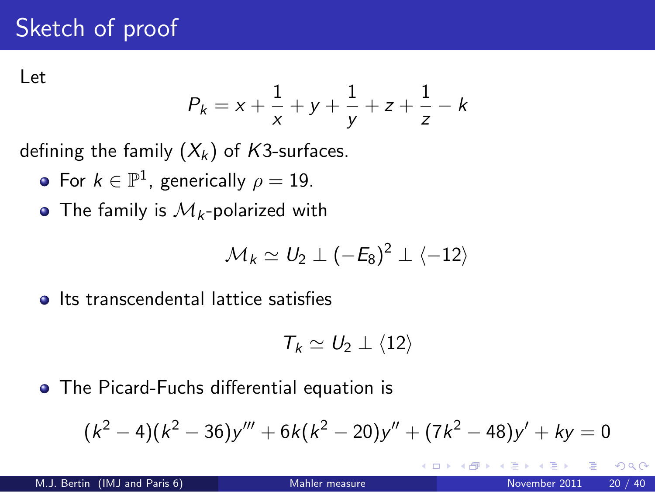# Sketch of proof

Let

$$
P_k = x + \frac{1}{x} + y + \frac{1}{y} + z + \frac{1}{z} - k
$$

defining the family  $(X_k)$  of *K*3-surfaces.

- For  $k \in \mathbb{P}^1$ , generically  $\rho = 19$ .
- The family is  $\mathcal{M}_k$ -polarized with

$$
\mathcal{M}_k \simeq U_2 \perp (-E_8)^2 \perp \langle -12 \rangle
$$

**Its transcendental lattice satisfies** 

<span id="page-19-0"></span>
$$
T_k \simeq U_2 \perp \langle 12 \rangle
$$

The Picard-Fuchs differential equation is

$$
(k2 - 4)(k2 - 36)y''' + 6k(k2 - 20)y'' + (7k2 - 48)y' + ky = 0
$$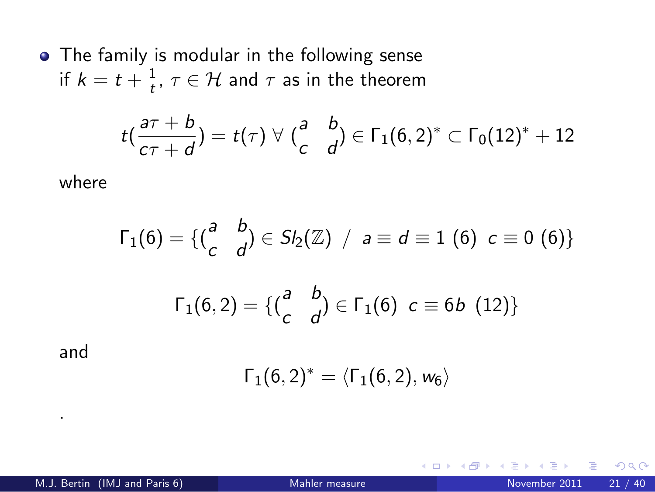• The family is modular in the following sense if  $k = t + \frac{1}{t}$ ,  $\tau \in H$  and  $\tau$  as in the theorem

$$
t\left(\frac{a\tau+b}{c\tau+d}\right)=t(\tau)\,\,\forall\,\,\left(\begin{matrix}a&b\\c&d\end{matrix}\right)\in\Gamma_1(6,2)^*\subset\Gamma_0(12)^*+12
$$

where

$$
\Gamma_1(6) = \{ {a \atop c} b \atop 1(6,2) = \{ {a \atop c} b \atop 0 \end{bmatrix} \in S_2(\mathbb{Z}) \ / \ a \equiv d \equiv 1 \ (6) \ c \equiv 0 \ (6) \}
$$

$$
\Gamma_1(6,2) = \{ {a \atop c} b \atop 0 \end{bmatrix} \in \Gamma_1(6) \ c \equiv 6b \ (12) \}
$$

and

.

$$
\Gamma_1(6,2)^*=\langle \Gamma_1(6,2),w_6\rangle
$$

<span id="page-20-0"></span> $\leftarrow$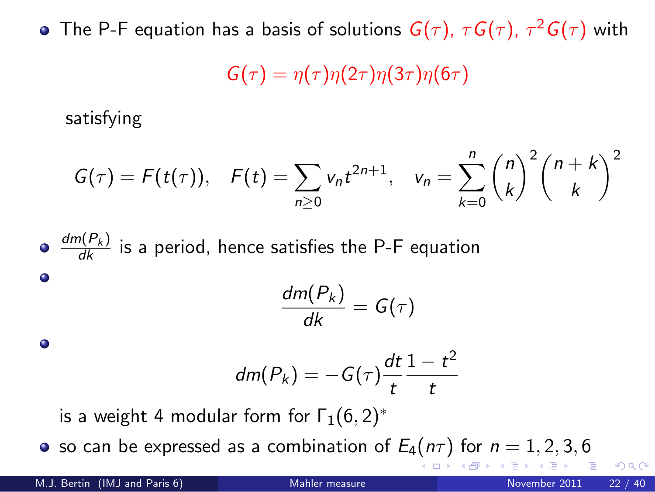The P-F equation has a basis of solutions  $G(\tau)$ ,  $\tau G(\tau)$ ,  $\tau^2 G(\tau)$  with

 $G(\tau) = \eta(\tau) \eta(2\tau) \eta(3\tau) \eta(6\tau)$ 

satisfying

$$
G(\tau) = F(t(\tau)), \quad F(t) = \sum_{n \geq 0} v_n t^{2n+1}, \quad v_n = \sum_{k=0}^n {n \choose k}^2 {n+k \choose k}^2
$$

 $\frac{dm(P_k)}{dk}$  is a period, hence satisfies the P-F equation  $\bullet$  $\frac{dm(P_k)}{dk} = G(\tau)$  $\bullet$  $\frac{1-t^2}{\cdots}$  $dm(P_k) = -G(\tau) \frac{dt}{t}$ *t t*

<span id="page-21-0"></span>is a weight 4 modular form for  $\Gamma_1(6,2)^*$ 

• so ca[n](#page-22-0) be expressed as a combination of  $E_4(n\tau)$  $E_4(n\tau)$  $E_4(n\tau)$  $E_4(n\tau)$  [f](#page-20-0)[or](#page-21-0)  $n = 1, 2, 3, 6$  $n = 1, 2, 3, 6$  $n = 1, 2, 3, 6$  $n = 1, 2, 3, 6$  $n = 1, 2, 3, 6$  $n = 1, 2, 3, 6$  $n = 1, 2, 3, 6$  $n = 1, 2, 3, 6$  $n = 1, 2, 3, 6$  $n = 1, 2, 3, 6$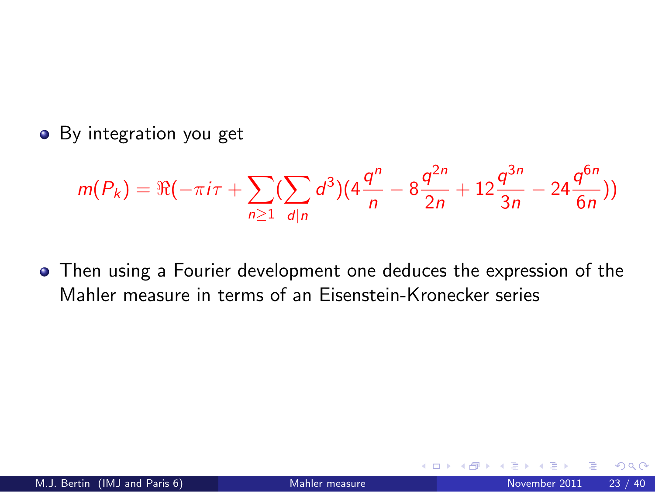• By integration you get

$$
m(P_k) = \Re(-\pi i \tau + \sum_{n\geq 1} (\sum_{d|n} d^3)(4\frac{q^n}{n} - 8\frac{q^{2n}}{2n} + 12\frac{q^{3n}}{3n} - 24\frac{q^{6n}}{6n}))
$$

Then using a Fourier development one deduces the expression of the Mahler measure in terms of an Eisenstein-Kronecker series

<span id="page-22-0"></span>つひひ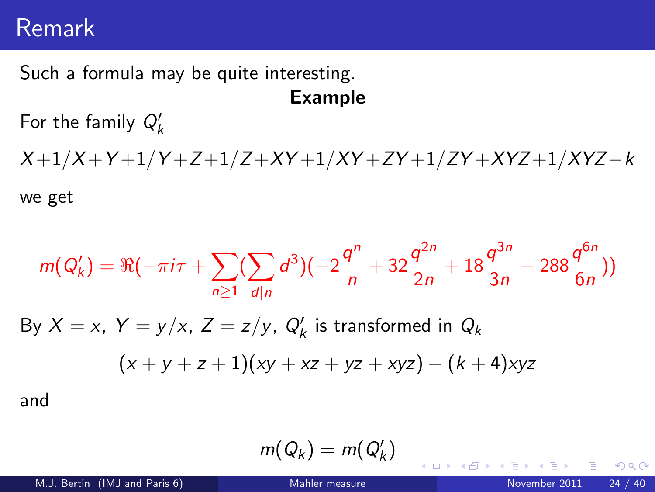## Remark

Such a formula may be quite interesting. Example

For the family  $Q'_k$ 

*X* +1/*X* +*Y* +1/*Y* +*Z*+1/*Z*+*XY* +1/*XY* +*ZY* +1/*ZY* +*XYZ*+1/*XYZ*−*k*

we get

$$
m(Q'_{k}) = \Re(-\pi i \tau + \sum_{n\geq 1} (\sum_{d|n} d^{3})(-2\frac{q^{n}}{n} + 32\frac{q^{2n}}{2n} + 18\frac{q^{3n}}{3n} - 288\frac{q^{6n}}{6n}))
$$
  
By  $X = x$ ,  $Y = y/x$ ,  $Z = z/y$ ,  $Q'_{k}$  is transformed in  $Q_{k}$   
 $(x + y + z + 1)(xy + xz + yz + xyz) - (k + 4)xyz$   
and

$$
m(Q_k)=m(Q_k')
$$

э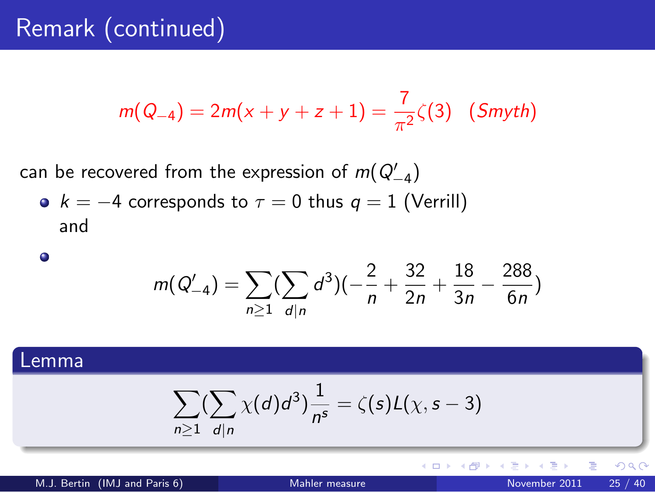# Remark (continued)

$$
m(Q_{-4}) = 2m(x + y + z + 1) = \frac{7}{\pi^2} \zeta(3) \quad (Smyth)
$$

 $\epsilon$  can be recovered from the expression of  $m(Q_{-4}')$ 

•  $k = -4$  corresponds to  $\tau = 0$  thus  $q = 1$  (Verrill) and

$$
\bullet
$$

$$
m(Q'_{-4}) = \sum_{n\geq 1} (\sum_{d|n} d^3)(-\frac{2}{n} + \frac{32}{2n} + \frac{18}{3n} - \frac{288}{6n})
$$

### Lemma

$$
\sum_{n\geq 1}(\sum_{d|n}\chi(d)d^3)\frac{1}{n^s}=\zeta(s)L(\chi,s-3)
$$

M.J. Bertin (IMJ and Paris 6) [Mahler measure](#page-0-0) November 2011 25 / 40

4 0 8 → 母→

Þ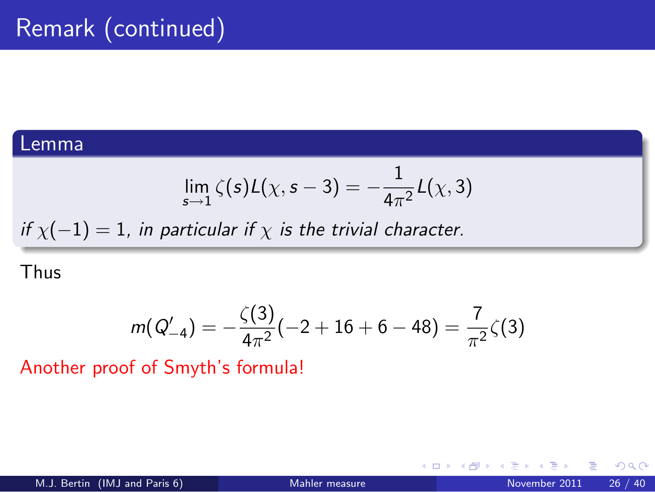#### Lemma

$$
\lim_{s\to 1} \zeta(s) L(\chi, s-3) = -\frac{1}{4\pi^2} L(\chi, 3)
$$

*if*  $\chi(-1) = 1$ *, in particular if*  $\chi$  *is the trivial character.* 

#### Thus

$$
m(Q'_{-4})=-\frac{\zeta(3)}{4\pi^2}(-2+16+6-48)=\frac{7}{\pi^2}\zeta(3)
$$

Another proof of Smyth's formula!

 $\leftarrow$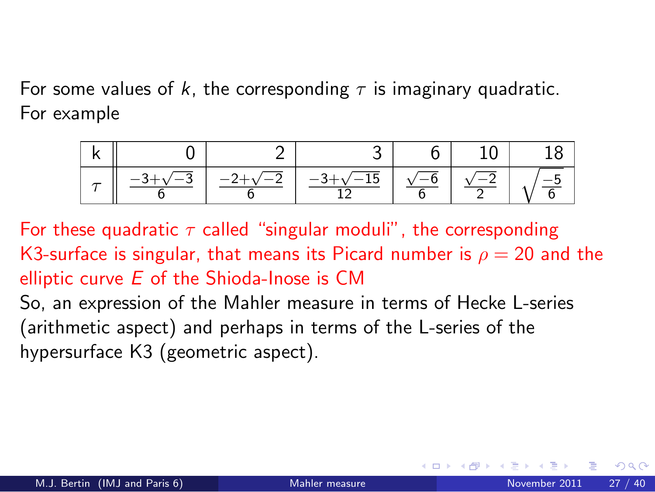For some values of  $k$ , the corresponding  $\tau$  is imaginary quadratic. For example



For these quadratic  $\tau$  called "singular moduli", the corresponding K3-surface is singular, that means its Picard number is  $\rho = 20$  and the elliptic curve *E* of the Shioda-Inose is CM

So, an expression of the Mahler measure in terms of Hecke L-series (arithmetic aspect) and perhaps in terms of the L-series of the hypersurface K3 (geometric aspect).

<span id="page-26-0"></span>つひひ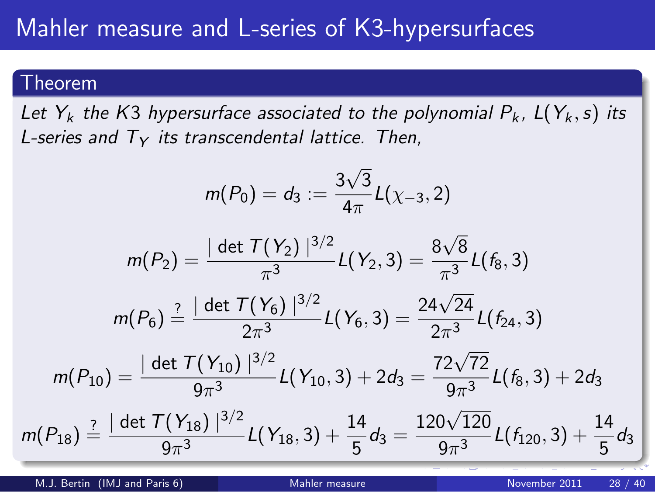#### Theorem

*Let*  $Y_k$  *the K3 hypersurface associated to the polynomial*  $P_k$ *,*  $L(Y_k, s)$  *its L-series and T*<sup>Y</sup> *its transcendental lattice. Then,*

$$
m(P_0) = d_3 := \frac{3\sqrt{3}}{4\pi}L(\chi_{-3}, 2)
$$

$$
m(P_2) = \frac{|\det \mathcal{T}(Y_2)|^{3/2}}{\pi^3} L(Y_2, 3) = \frac{8\sqrt{8}}{\pi^3} L(f_8, 3)
$$

$$
m(P_6) \stackrel{?}{=} \frac{|\det \mathcal{T}(Y_6)|^{3/2}}{2\pi^3} L(Y_6,3) = \frac{24\sqrt{24}}{2\pi^3} L(f_{24},3)
$$

$$
m(P_{10})=\frac{|\det \mathcal{T}(Y_{10})|^{3/2}}{9\pi^3}L(Y_{10},3)+2d_3=\frac{72\sqrt{72}}{9\pi^3}L(f_8,3)+2d_3
$$

$$
m(P_{18}) \stackrel{?}{=} \frac{|\det \mathcal{T}(Y_{18})\,|^{3/2}}{9\pi^3} L(Y_{18},3) + \frac{14}{5} d_3 = \frac{120\sqrt{120}}{9\pi^3} L(f_{120},3) + \frac{14}{5} d_3
$$

M.J. Bertin (IMJ and Paris 6) [Mahler measure](#page-0-0) November 2011 28 / 40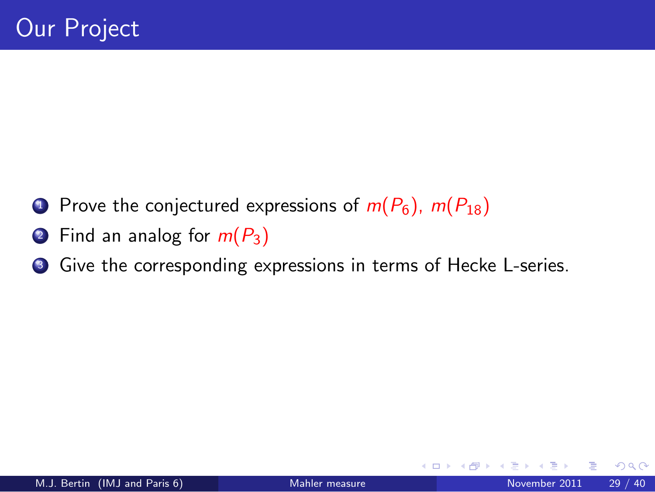- **1** Prove the conjectured expressions of  $m(P_6)$ ,  $m(P_{18})$
- <sup>2</sup> Find an analog for *m*(*P*3)
- <span id="page-28-0"></span>**3** Give the corresponding expressions in terms of Hecke L-series.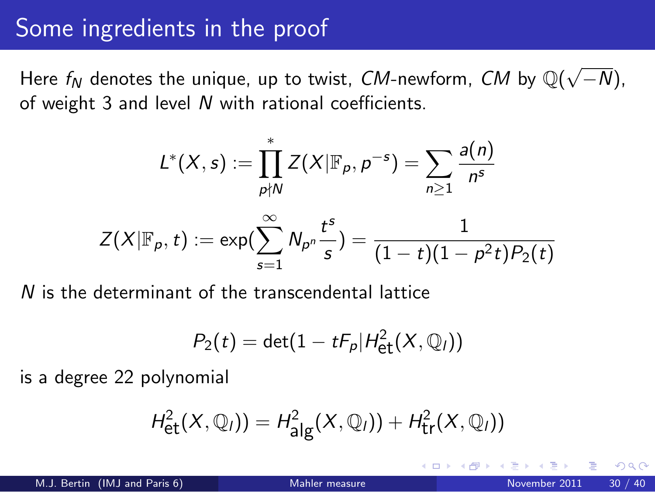## Some ingredients in the proof

Here  $f_N$  denotes the unique, up to twist,  $CM$ -newform,  $CM$  by  $\mathbb{Q}(\sqrt{-N})$ , of weight 3 and level *N* with rational coefficients.

$$
L^*(X, s) := \prod_{p \nmid N}^* Z(X | \mathbb{F}_p, p^{-s}) = \sum_{n \geq 1} \frac{a(n)}{n^s}
$$

$$
Z(X | \mathbb{F}_p, t) := \exp(\sum_{s=1}^{\infty} N_{p^n} \frac{t^s}{s}) = \frac{1}{(1 - t)(1 - p^2 t)P_2(t)}
$$

*N* is the determinant of the transcendental lattice

$$
P_2(t) = \det(1 - tF_p|H_{\rm et}^2(X,\mathbb{Q}_l))
$$

is a degree 22 polynomial

$$
H^2_{\text{\rm et}}(X,{{\mathbb Q}}_l))=H^2_{\text{\rm alg}}(X,{{\mathbb Q}}_l))+H^2_{\text{\rm tr}}(X,{{\mathbb Q}}_l))
$$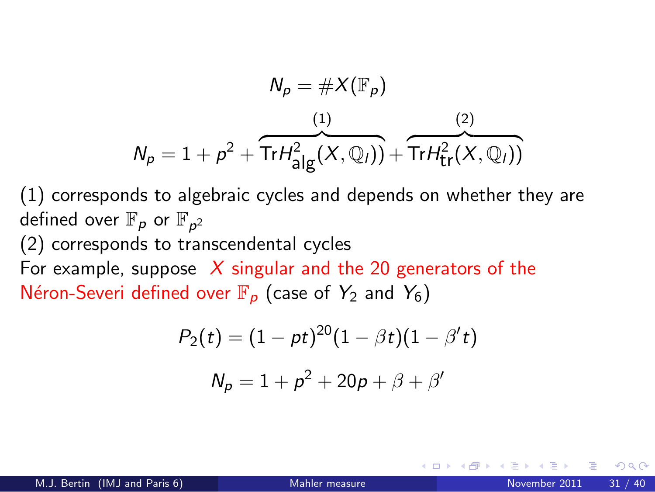$$
N_p = \#X(\mathbb{F}_p)
$$
  

$$
N_p = 1 + p^2 + \overbrace{\text{Tr}H_{\text{alg}}^2(X, \mathbb{Q}_l))}^{(1)} + \overbrace{\text{Tr}H_{\text{tr}}^2(X, \mathbb{Q}_l))}^{(2)}
$$

(1) corresponds to algebraic cycles and depends on whether they are defined over  $\mathbb{F}_\rho$  or  $\mathbb{F}_{\rho^2}$ 

(2) corresponds to transcendental cycles

For example, suppose *X* singular and the 20 generators of the Néron-Severi defined over  $\mathbb{F}_p$  (case of  $Y_2$  and  $Y_6$ )

$$
P_2(t) = (1 - pt)^{20}(1 - \beta t)(1 - \beta' t)
$$

$$
N_p = 1 + p^2 + 20p + \beta + \beta'
$$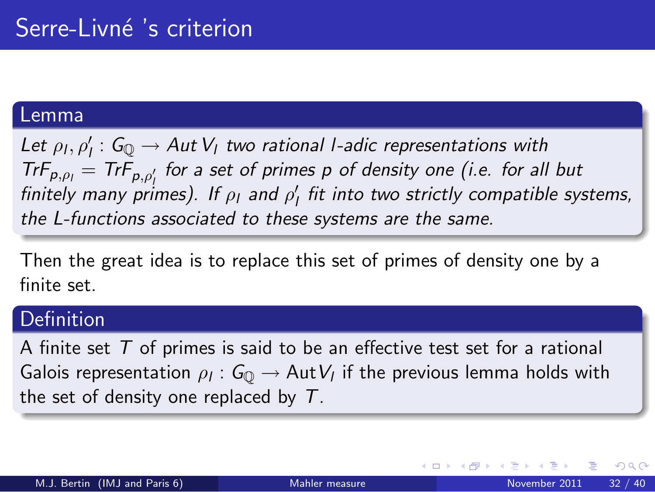#### Lemma

Let  $\rho_l$ ,  $\rho'_l$  :  $G_{\mathbb{Q}} \to Aut$   $V_l$  *two rational l-adic representations with TrF<sub>p,pl</sub>* = *TrF<sub>p,p'<sub>1</sub>* for a set of primes p of density one (i.e. for all but</sub>  $f_{\text{initely}}$  many primes). If  $\rho_1$  and  $\rho_1'$  fit into two strictly compatible systems, *the L-functions associated to these systems are the same.*

Then the great idea is to replace this set of primes of density one by a finite set.

### **Definition**

A finite set *T* of primes is said to be an effective test set for a rational Galois representation  $\rho_l: G_{\mathbb{Q}} \to \operatorname{\mathsf{Aut}}\nolimits V_l$  if the previous lemma holds with the set of density one replaced by *T*.

つへへ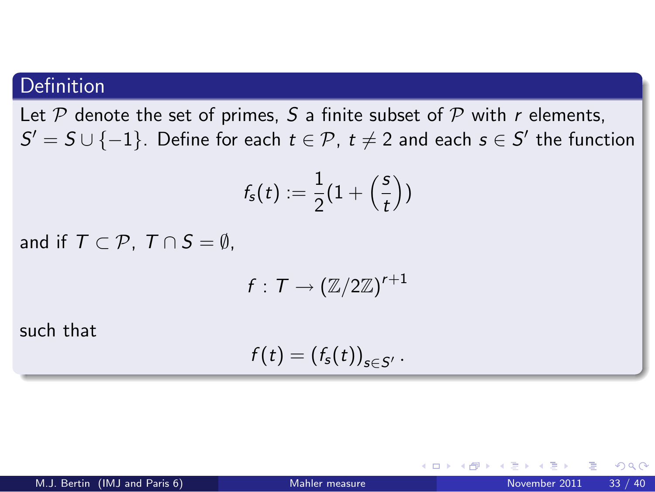## Definition

Let  $P$  denote the set of primes,  $S$  a finite subset of  $P$  with  $r$  elements,  $S' = S \cup \{-1\}$ . Define for each  $t \in \mathcal{P}$ ,  $t \neq 2$  and each  $s \in S'$  the function

$$
f_{\mathsf{s}}(t):=\frac{1}{2}(1+\left(\frac{\mathsf{s}}{t}\right))
$$

and if  $T \subset \mathcal{P}$ ,  $T \cap S = \emptyset$ .

$$
f:\, \mathcal{T} \to (\mathbb{Z}/2\mathbb{Z})^{r+1}
$$

such that

$$
f(t)=(f_s(t))_{s\in S'}.
$$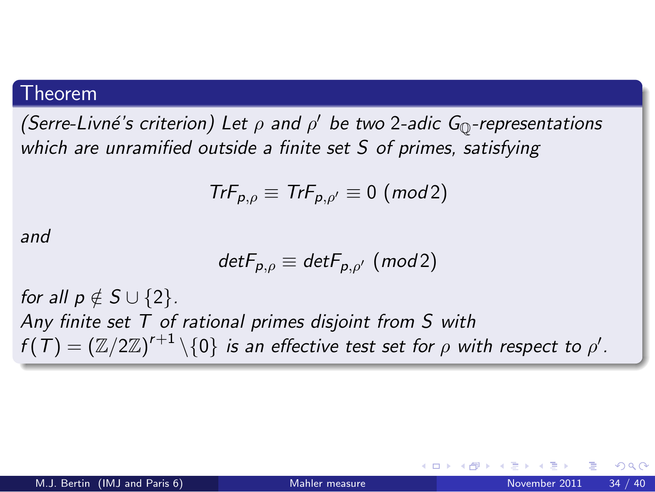#### Theorem

*(Serre-Livn´e's criterion) Let* ρ *and* ρ ′ *be two* 2*-adic G*Q*-representations which are unramified outside a finite set S of primes, satisfying*

$$
\mathsf{Tr} F_{p,\rho} \equiv \mathsf{Tr} F_{p,\rho'} \equiv 0 \; (\mathsf{mod}\, 2)
$$

*and*

$$
detF_{p,\rho} \equiv detF_{p,\rho'} \ (mod 2)
$$

*for all p*  $\notin$  *S* ∪ {2}*. Any finite set T of rational primes disjoint from S with*  $f(T)=(\mathbb{Z}/2\mathbb{Z})^{r+1}\setminus\{0\}$  *is an effective test set for*  $\rho$  *with respect to*  $\rho'.$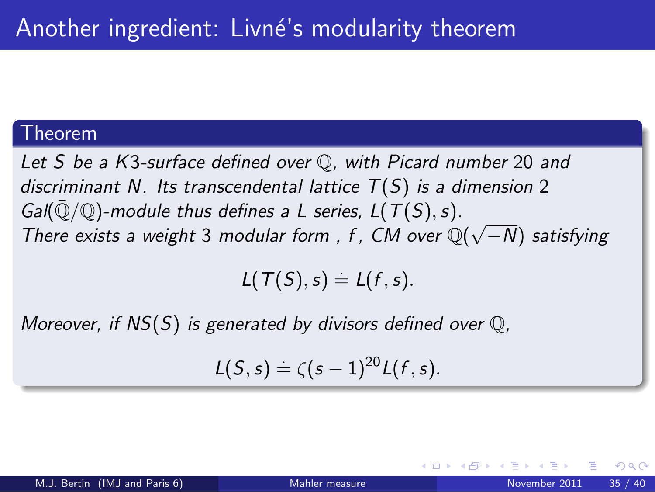#### Theorem

*Let S be a K*3*-surface defined over* Q*, with Picard number* 20 *and discriminant N. Its transcendental lattice T*(*S*) *is a dimension* 2 *Gal*( $\overline{Q}/Q$ )-module thus defines a L series,  $L(T(S), s)$ . *There exists a weight* 3 *modular form , f , CM over* Q( √ −*N*) *satisfying*

 $L(T(S), s) = L(f, s).$ 

*Moreover, if NS*(*S*) *is generated by divisors defined over* Q*,*

$$
\mathcal{L}(S,s) \doteq \zeta(s-1)^{20}\mathcal{L}(f,s).
$$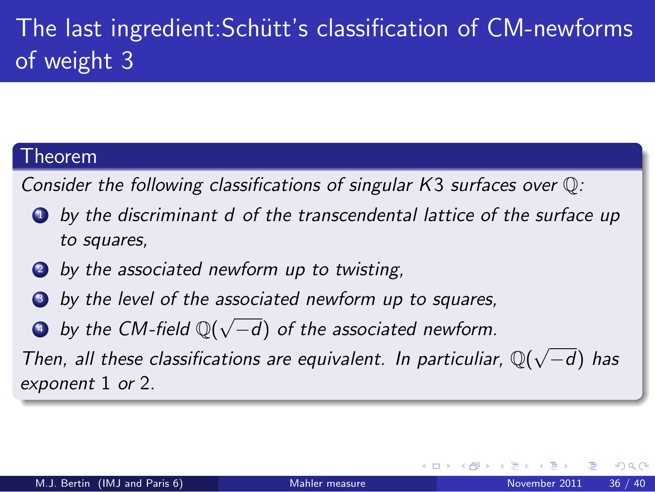# The last ingredient: Schütt's classification of CM-newforms of weight 3

### Theorem

*Consider the following classifications of singular K*3 *surfaces over* Q*:*

- <sup>1</sup> *by the discriminant d of the transcendental lattice of the surface up to squares,*
- <sup>2</sup> *by the associated newform up to twisting,*
- <sup>3</sup> *by the level of the associated newform up to squares,*
- <sup>4</sup> *by the CM-field* Q( √ −*d*) *of the associated newform.*

*Then, all these classifications are equivalent. In particuliar,*  $\mathbb{Q}(\sqrt{-d})$  *has exponent* 1 *or* 2*.*

つひひ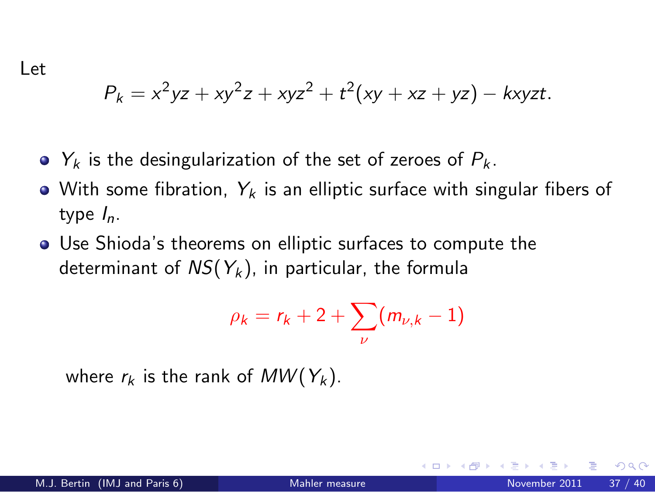Let

$$
P_k = x^2yz + xy^2z + xyz^2 + t^2(xy + xz + yz) - kxyzt.
$$

- $Y_k$  is the desingularization of the set of zeroes of  $P_k$ .
- With some fibration,  $Y_k$  is an elliptic surface with singular fibers of type *I*n.
- Use Shioda's theorems on elliptic surfaces to compute the determinant of  $NS(Y_k)$ , in particular, the formula

$$
\rho_k = r_k + 2 + \sum_{\nu} (m_{\nu,k} - 1)
$$

where  $r_k$  is the rank of  $MW(Y_k)$ .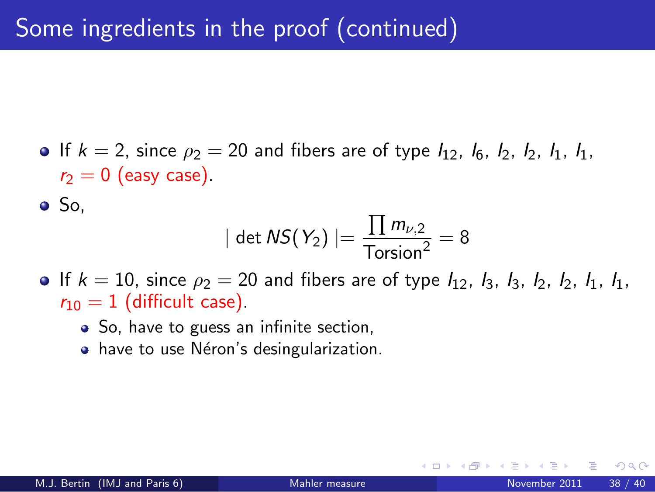• If  $k = 2$ , since  $\rho_2 = 20$  and fibers are of type  $I_{12}$ ,  $I_6$ ,  $I_2$ ,  $I_2$ ,  $I_1$ ,  $I_1$ ,  $r_2 = 0$  (easy case).

 $\bullet$  So.

$$
|\det \mathsf{NS}(Y_2)| = \frac{\prod m_{\nu,2}}{\text{Torsion}^2} = 8
$$

- If  $k = 10$ , since  $\rho_2 = 20$  and fibers are of type  $I_{12}$ ,  $I_3$ ,  $I_3$ ,  $I_2$ ,  $I_2$ ,  $I_1$ ,  $I_1$ ,  $r_{10} = 1$  (difficult case).
	- So, have to guess an infinite section,
	- have to use Néron's desingularization.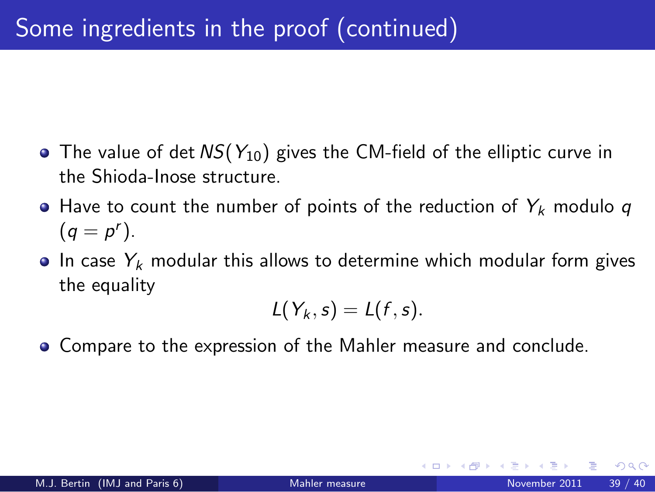- The value of det *NS*( $Y_{10}$ ) gives the CM-field of the elliptic curve in the Shioda-Inose structure.
- $\bullet$  Have to count the number of points of the reduction of  $Y_k$  modulo q  $(q = p^r)$ .
- $\bullet$  In case  $Y_k$  modular this allows to determine which modular form gives the equality

$$
L(Y_k,s)=L(f,s).
$$

Compare to the expression of the Mahler measure and conclude.